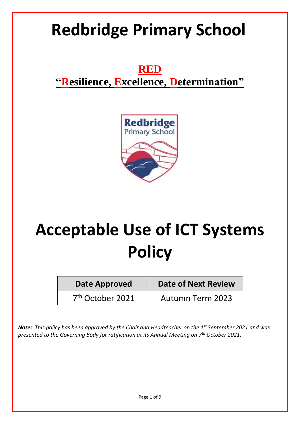# **Redbridge Primary School**

**RED "Resilience, Excellence, Determination"**



# **Acceptable Use of ICT Systems Policy**

| <b>Date Approved</b>         | <b>Date of Next Review</b> |
|------------------------------|----------------------------|
| 7 <sup>th</sup> October 2021 | <b>Autumn Term 2023</b>    |

*Note: This policy has been approved by the Chair and Headteacher on the 1st September 2021 and was presented to the Governing Body for ratification at its Annual Meeting on 7th October 2021.*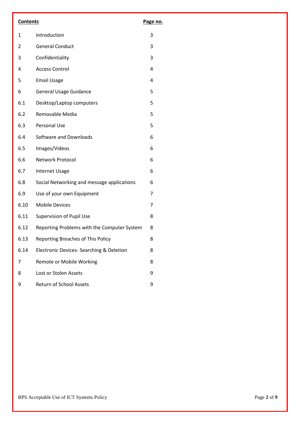| <b>Contents</b> |                                             | Page no.       |
|-----------------|---------------------------------------------|----------------|
| $\mathbf{1}$    | Introduction                                | 3              |
| $\overline{2}$  | <b>General Conduct</b>                      | 3              |
| 3               | Confidentiality                             | 3              |
| 4               | <b>Access Control</b>                       | $\overline{4}$ |
| 5               | <b>Email Usage</b>                          | 4              |
| 6               | <b>General Usage Guidance</b>               | 5              |
| 6.1             | Desktop/Laptop computers                    | 5              |
| 6.2             | Removable Media                             | 5              |
| 6.3             | Personal Use                                | 5              |
| 6.4             | Software and Downloads                      | 6              |
| 6.5             | Images/Videos                               | 6              |
| 6.6             | Network Protocol                            | 6              |
| 6.7             | <b>Internet Usage</b>                       | 6              |
| 6.8             | Social Networking and message applications  | 6              |
| 6.9             | Use of your own Equipment                   | 7              |
| 6.10            | <b>Mobile Devices</b>                       | 7              |
| 6.11            | <b>Supervision of Pupil Use</b>             | 8              |
| 6.12            | Reporting Problems with the Computer System | 8              |
| 6.13            | Reporting Breaches of This Policy           | 8              |
| 6.14            | Electronic Devices- Searching & Deletion    | 8              |
| 7               | Remote or Mobile Working                    | 8              |
| 8               | Lost or Stolen Assets                       | 9              |
| 9               | Return of School Assets                     | 9              |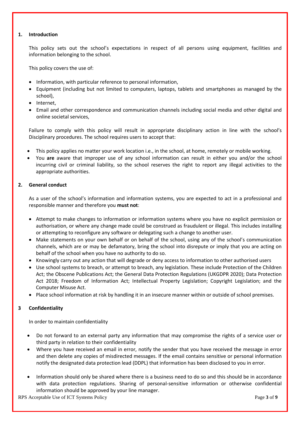### **1. Introduction**

This policy sets out the school's expectations in respect of all persons using equipment, facilities and information belonging to the school.

This policy covers the use of:

- Information, with particular reference to personal information,
- Equipment (including but not limited to computers, laptops, tablets and smartphones as managed by the school),
- Internet.
- Email and other correspondence and communication channels including social media and other digital and online societal services,

Failure to comply with this policy will result in appropriate disciplinary action in line with the school's Disciplinary procedures. The school requires users to accept that:

- This policy applies no matter your work location i.e., in the school, at home, remotely or mobile working.
- You **are** aware that improper use of any school information can result in either you and/or the school incurring civil or criminal liability, so the school reserves the right to report any illegal activities to the appropriate authorities.

# **2. General conduct**

As a user of the school's information and information systems, you are expected to act in a professional and responsible manner and therefore you **must not**:

- Attempt to make changes to information or information systems where you have no explicit permission or authorisation, or where any change made could be construed as fraudulent or illegal. This includes installing or attempting to reconfigure any software or delegating such a change to another user.
- Make statements on your own behalf or on behalf of the school, using any of the school's communication channels, which are or may be defamatory, bring the school into disrepute or imply that you are acting on behalf of the school when you have no authority to do so.
- Knowingly carry out any action that will degrade or deny access to information to other authorised users
- Use school systems to breach, or attempt to breach, any legislation. These include Protection of the Children Act; the Obscene Publications Act; the General Data Protection Regulations (UKGDPR 2020); Data Protection Act 2018; Freedom of Information Act; Intellectual Property Legislation; Copyright Legislation; and the Computer Misuse Act.
- Place school information at risk by handling it in an insecure manner within or outside of school premises.

# **3 Confidentiality**

In order to maintain confidentiality

- Do not forward to an external party any information that may compromise the rights of a service user or third party in relation to their confidentiality
- Where you have received an email in error, notify the sender that you have received the message in error and then delete any copies of misdirected messages. If the email contains sensitive or personal information notify the designated data protection lead (DDPL) that information has been disclosed to you in error.
- Information should only be shared where there is a business need to do so and this should be in accordance with data protection regulations. Sharing of personal-sensitive information or otherwise confidential information should be approved by your line manager.

RPS Acceptable Use of ICT Systems Policy Page **3** of **9**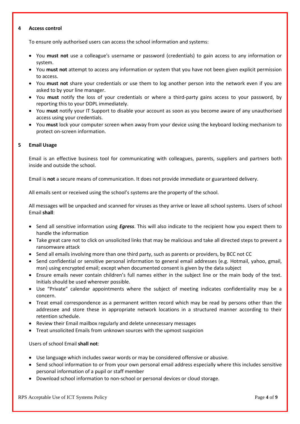#### **4 Access control**

To ensure only authorised users can access the school information and systems:

- You **must not** use a colleague's username or password (credentials) to gain access to any information or system.
- You **must not** attempt to access any information or system that you have not been given explicit permission to access.
- You **must not** share your credentials or use them to log another person into the network even if you are asked to by your line manager.
- You **must** notify the loss of your credentials or where a third-party gains access to your password, by reporting this to your DDPL immediately.
- You must notify your IT Support to disable your account as soon as you become aware of any unauthorised access using your credentials.
- You **must** lock your computer screen when away from your device using the keyboard locking mechanism to protect on-screen information.

### **5 Email Usage**

Email is an effective business tool for communicating with colleagues, parents, suppliers and partners both inside and outside the school.

Email is **not** a secure means of communication. It does not provide immediate or guaranteed delivery.

All emails sent or received using the school's systems are the property of the school.

All messages will be unpacked and scanned for viruses as they arrive or leave all school systems. Users of school Email **shall**:

- Send all sensitive information using *Egress*. This will also indicate to the recipient how you expect them to handle the information
- Take great care not to click on unsolicited links that may be malicious and take all directed steps to prevent a ransomware attack
- Send all emails involving more than one third party, such as parents or providers, by BCC not CC
- Send confidential or sensitive personal information to general email addresses (e.g. Hotmail, yahoo, gmail, msn) using encrypted email; except when documented consent is given by the data subject
- Ensure emails never contain children's full names either in the subject line or the main body of the text. Initials should be used wherever possible.
- Use "Private" calendar appointments where the subject of meeting indicates confidentiality may be a concern.
- Treat email correspondence as a permanent written record which may be read by persons other than the addressee and store these in appropriate network locations in a structured manner according to their retention schedule.
- Review their Email mailbox regularly and delete unnecessary messages
- Treat unsolicited Emails from unknown sources with the upmost suspicion

Users of school Email **shall not**:

- Use language which includes swear words or may be considered offensive or abusive.
- Send school information to or from your own personal email address especially where this includes sensitive personal information of a pupil or staff member
- Download school information to non-school or personal devices or cloud storage.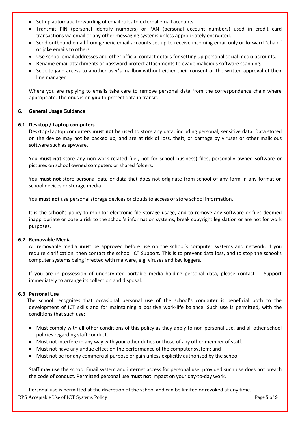- Set up automatic forwarding of email rules to external email accounts
- Transmit PIN (personal identify numbers) or PAN (personal account numbers) used in credit card transactions via email or any other messaging systems unless appropriately encrypted.
- Send outbound email from generic email accounts set up to receive incoming email only or forward "chain" or joke emails to others
- Use school email addresses and other official contact details for setting up personal social media accounts.
- Rename email attachments or password protect attachments to evade malicious software scanning.
- Seek to gain access to another user's mailbox without either their consent or the written approval of their line manager

Where you are replying to emails take care to remove personal data from the correspondence chain where appropriate. The onus is on **you** to protect data in transit.

#### **6. General Usage Guidance**

#### **6.1 Desktop / Laptop computers**

Desktop/Laptop computers **must not** be used to store any data, including personal, sensitive data. Data stored on the device may not be backed up, and are at risk of loss, theft, or damage by viruses or other malicious software such as spyware.

You **must not** store any non-work related (i.e., not for school business) files, personally owned software or pictures on school owned computers or shared folders.

You **must not** store personal data or data that does not originate from school of any form in any format on school devices or storage media.

You **must not** use personal storage devices or clouds to access or store school information.

It is the school's policy to monitor electronic file storage usage, and to remove any software or files deemed inappropriate or pose a risk to the school's information systems, break copyright legislation or are not for work purposes.

#### **6.2 Removable Media**

All removable media **must** be approved before use on the school's computer systems and network. If you require clarification, then contact the school ICT Support. This is to prevent data loss, and to stop the school's computer systems being infected with malware, e.g. viruses and key loggers.

If you are in possession of unencrypted portable media holding personal data, please contact IT Support immediately to arrange its collection and disposal.

#### **6.3 Personal Use**

The school recognises that occasional personal use of the school's computer is beneficial both to the development of ICT skills and for maintaining a positive work-life balance. Such use is permitted, with the conditions that such use:

- Must comply with all other conditions of this policy as they apply to non-personal use, and all other school policies regarding staff conduct.
- Must not interfere in any way with your other duties or those of any other member of staff.
- Must not have any undue effect on the performance of the computer system; and
- Must not be for any commercial purpose or gain unless explicitly authorised by the school.

Staff may use the school Email system and internet access for personal use, provided such use does not breach the code of conduct. Permitted personal use **must not** impact on your day-to-day work.

RPS Acceptable Use of ICT Systems Policy Page **5** of **9** Personal use is permitted at the discretion of the school and can be limited or revoked at any time.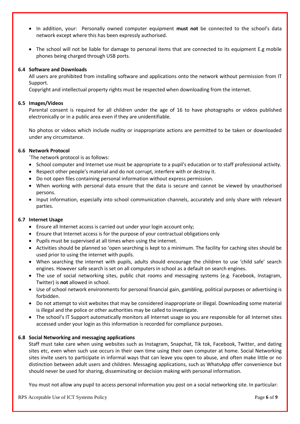- In addition, your: Personally owned computer equipment **must not** be connected to the school's data network except where this has been expressly authorised.
- The school will not be liable for damage to personal items that are connected to its equipment E.g mobile phones being charged through USB ports.

### **6.4 Software and Downloads**

All users are prohibited from installing software and applications onto the network without permission from IT Support.

Copyright and intellectual property rights must be respected when downloading from the internet.

### **6.5 Images/Videos**

Parental consent is required for all children under the age of 16 to have photographs or videos published electronically or in a public area even if they are unidentifiable.

No photos or videos which include nudity or inappropriate actions are permitted to be taken or downloaded under any circumstance.

# **6.6 Network Protocol**

**`**The network protocol is as follows:

- School computer and Internet use must be appropriate to a pupil's education or to staff professional activity.
- Respect other people's material and do not corrupt, interfere with or destroy it.
- Do not open files containing personal information without express permission.
- When working with personal data ensure that the data is secure and cannot be viewed by unauthorised persons.
- Input information, especially into school communication channels, accurately and only share with relevant parties.

### **6.7 Internet Usage**

- Ensure all Internet access is carried out under your login account only;
- Ensure that Internet access is for the purpose of your contractual obligations only
- Pupils must be supervised at all times when using the internet.
- Activities should be planned so 'open searching is kept to a minimum. The facility for caching sites should be used prior to using the internet with pupils.
- When searching the internet with pupils, adults should encourage the children to use 'child safe' search engines. However safe search is set on all computers in school as a default on search engines.
- The use of social networking sites, public chat rooms and messaging systems (e.g. Facebook, Instagram, Twitter) is **not** allowed in school.
- Use of school network environments for personal financial gain, gambling, political purposes or advertising is forbidden.
- Do not attempt to visit websites that may be considered inappropriate or illegal. Downloading some material is illegal and the police or other authorities may be called to investigate.
- The school's IT Support automatically monitors all Internet usage so you are responsible for all Internet sites accessed under your login as this information is recorded for compliance purposes.

### **6.8 Social Networking and messaging applications**

Staff must take care when using websites such as Instagram, Snapchat, Tik tok, Facebook, Twitter, and dating sites etc, even when such use occurs in their own time using their own computer at home. Social Networking sites invite users to participate in informal ways that can leave you open to abuse, and often make little or no distinction between adult users and children. Messaging applications, such as WhatsApp offer convenience but should never be used for sharing, disseminating or decision making with personal information.

You must not allow any pupil to access personal information you post on a social networking site. In particular:

RPS Acceptable Use of ICT Systems Policy **Page 6** of **9**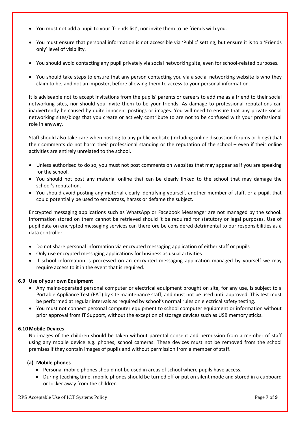- You must not add a pupil to your 'friends list', nor invite them to be friends with you.
- You must ensure that personal information is not accessible via 'Public' setting, but ensure it is to a 'Friends only' level of visibility.
- You should avoid contacting any pupil privately via social networking site, even for school-related purposes.
- You should take steps to ensure that any person contacting you via a social networking website is who they claim to be, and not an imposter, before allowing them to access to your personal information.

It is adviseable not to accept invitations from the pupils' parents or careers to add me as a friend to their social networking sites, nor should you invite them to be your friends. As damage to professional reputations can inadvertently be caused by quite innocent postings or images. You will need to ensure that any private social networking sites/blogs that you create or actively contribute to are not to be confused with your professional role in anyway.

Staff should also take care when posting to any public website (including online discussion forums or blogs) that their comments do not harm their professional standing or the reputation of the school – even if their online activities are entirely unrelated to the school.

- Unless authorised to do so, you must not post comments on websites that may appear as if you are speaking for the school.
- You should not post any material online that can be clearly linked to the school that may damage the school's reputation.
- You should avoid posting any material clearly identifying yourself, another member of staff, or a pupil, that could potentially be used to embarrass, harass or defame the subject.

Encrypted messaging applications such as WhatsApp or Facebook Messenger are not managed by the school. Information stored on them cannot be retrieved should it be required for statutory or legal purposes. Use of pupil data on encrypted messaging services can therefore be considered detrimental to our responsibilities as a data controller

- Do not share personal information via encrypted messaging application of either staff or pupils
- Only use encrypted messaging applications for business as usual activities
- If school information is processed on an encrypted messaging application managed by yourself we may require access to it in the event that is required.

### **6.9 Use of your own Equipment**

- Any mains-operated personal computer or electrical equipment brought on site, for any use, is subject to a Portable Appliance Test (PAT) by site maintenance staff, and must not be used until approved. This test must be performed at regular intervals as required by school's normal rules on electrical safety testing.
- You must not connect personal computer equipment to school computer equipment or information without prior approval from IT Support, without the exception of storage devices such as USB memory sticks.

#### **6.10Mobile Devices**

No images of the children should be taken without parental consent and permission from a member of staff using any mobile device e.g. phones, school cameras. These devices must not be removed from the school premises if they contain images of pupils and without permission from a member of staff.

### **(a) Mobile phones**

- Personal mobile phones should not be used in areas of school where pupils have access.
- During teaching time, mobile phones should be turned off or put on silent mode and stored in a cupboard or locker away from the children.

RPS Acceptable Use of ICT Systems Policy Page **7** of **9**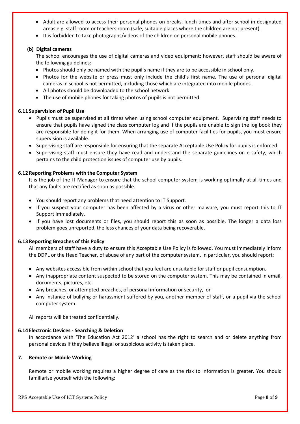- Adult are allowed to access their personal phones on breaks, lunch times and after school in designated areas e.g. staff room or teachers room (safe, suitable places where the children are not present).
- It is forbidden to take photographs/videos of the children on personal mobile phones.

### **(b) Digital cameras**

The school encourages the use of digital cameras and video equipment; however, staff should be aware of the following guidelines:

- Photos should only be named with the pupil's name if they are to be accessible in school only.
- Photos for the website or press must only include the child's first name. The use of personal digital cameras in school is not permitted, including those which are integrated into mobile phones.
- All photos should be downloaded to the school network
- The use of mobile phones for taking photos of pupils is not permitted.

# **6.11 Supervision of Pupil Use**

- Pupils must be supervised at all times when using school computer equipment. Supervising staff needs to ensure that pupils have signed the class computer log and if the pupils are unable to sign the log book they are responsible for doing it for them. When arranging use of computer facilities for pupils, you must ensure supervision is available.
- Supervising staff are responsible for ensuring that the separate Acceptable Use Policy for pupils is enforced.
- Supervising staff must ensure they have read and understand the separate guidelines on e-safety, which pertains to the child protection issues of computer use by pupils.

# **6.12 Reporting Problems with the Computer System**

It is the job of the IT Manager to ensure that the school computer system is working optimally at all times and that any faults are rectified as soon as possible.

- You should report any problems that need attention to IT Support.
- If you suspect your computer has been affected by a virus or other malware, you must report this to IT Support immediately.
- If you have lost documents or files, you should report this as soon as possible. The longer a data loss problem goes unreported, the less chances of your data being recoverable.

### **6.13 Reporting Breaches of this Policy**

All members of staff have a duty to ensure this Acceptable Use Policy is followed. You must immediately inform the DDPL or the Head Teacher, of abuse of any part of the computer system. In particular, you should report:

- Any websites accessible from within school that you feel are unsuitable for staff or pupil consumption.
- Any inappropriate content suspected to be stored on the computer system. This may be contained in email, documents, pictures, etc.
- Any breaches, or attempted breaches, of personal information or security, or
- Any instance of bullying or harassment suffered by you, another member of staff, or a pupil via the school computer system.

All reports will be treated confidentially.

### **6.14 Electronic Devices - Searching & Deletion**

In accordance with 'The Education Act 2012' a school has the right to search and or delete anything from personal devices if they believe illegal or suspicious activity is taken place.

### **7. Remote or Mobile Working**

Remote or mobile working requires a higher degree of care as the risk to information is greater. You should familiarise yourself with the following: